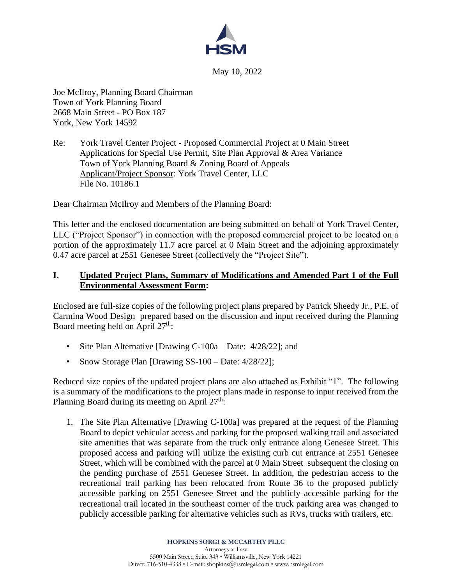

May 10, 2022

Joe McIlroy, Planning Board Chairman Town of York Planning Board 2668 Main Street - PO Box 187 York, New York 14592

Re: York Travel Center Project - Proposed Commercial Project at 0 Main Street Applications for Special Use Permit, Site Plan Approval & Area Variance Town of York Planning Board & Zoning Board of Appeals Applicant/Project Sponsor: York Travel Center, LLC File No. 10186.1

Dear Chairman McIlroy and Members of the Planning Board:

This letter and the enclosed documentation are being submitted on behalf of York Travel Center, LLC ("Project Sponsor") in connection with the proposed commercial project to be located on a portion of the approximately 11.7 acre parcel at 0 Main Street and the adjoining approximately 0.47 acre parcel at 2551 Genesee Street (collectively the "Project Site").

## **I. Updated Project Plans, Summary of Modifications and Amended Part 1 of the Full Environmental Assessment Form:**

Enclosed are full-size copies of the following project plans prepared by Patrick Sheedy Jr., P.E. of Carmina Wood Design prepared based on the discussion and input received during the Planning Board meeting held on April  $27<sup>th</sup>$ :

- Site Plan Alternative [Drawing C-100a Date: 4/28/22]; and
- Snow Storage Plan [Drawing SS-100 Date: 4/28/22];

Reduced size copies of the updated project plans are also attached as Exhibit "1". The following is a summary of the modifications to the project plans made in response to input received from the Planning Board during its meeting on April  $27<sup>th</sup>$ :

1. The Site Plan Alternative [Drawing C-100a] was prepared at the request of the Planning Board to depict vehicular access and parking for the proposed walking trail and associated site amenities that was separate from the truck only entrance along Genesee Street. This proposed access and parking will utilize the existing curb cut entrance at 2551 Genesee Street, which will be combined with the parcel at 0 Main Street subsequent the closing on the pending purchase of 2551 Genesee Street. In addition, the pedestrian access to the recreational trail parking has been relocated from Route 36 to the proposed publicly accessible parking on 2551 Genesee Street and the publicly accessible parking for the recreational trail located in the southeast corner of the truck parking area was changed to publicly accessible parking for alternative vehicles such as RVs, trucks with trailers, etc.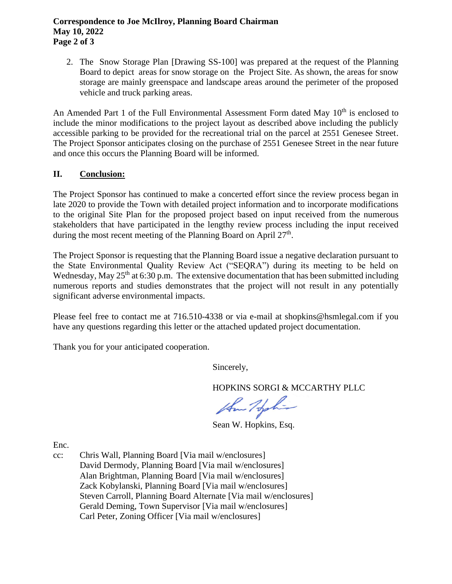## **Correspondence to Joe McIlroy, Planning Board Chairman May 10, 2022 Page 2 of 3**

2. The Snow Storage Plan [Drawing SS-100] was prepared at the request of the Planning Board to depict areas for snow storage on the Project Site. As shown, the areas for snow storage are mainly greenspace and landscape areas around the perimeter of the proposed vehicle and truck parking areas.

An Amended Part 1 of the Full Environmental Assessment Form dated May 10<sup>th</sup> is enclosed to include the minor modifications to the project layout as described above including the publicly accessible parking to be provided for the recreational trial on the parcel at 2551 Genesee Street. The Project Sponsor anticipates closing on the purchase of 2551 Genesee Street in the near future and once this occurs the Planning Board will be informed.

## **II. Conclusion:**

The Project Sponsor has continued to make a concerted effort since the review process began in late 2020 to provide the Town with detailed project information and to incorporate modifications to the original Site Plan for the proposed project based on input received from the numerous stakeholders that have participated in the lengthy review process including the input received during the most recent meeting of the Planning Board on April  $27<sup>th</sup>$ .

The Project Sponsor is requesting that the Planning Board issue a negative declaration pursuant to the State Environmental Quality Review Act ("SEQRA") during its meeting to be held on Wednesday, May  $25<sup>th</sup>$  at 6:30 p.m. The extensive documentation that has been submitted including numerous reports and studies demonstrates that the project will not result in any potentially significant adverse environmental impacts.

Please feel free to contact me at 716.510-4338 or via e-mail at shopkins@hsmlegal.com if you have any questions regarding this letter or the attached updated project documentation.

Thank you for your anticipated cooperation.

Sincerely,

HOPKINS SORGI & MCCARTHY PLLC

the Holin

Sean W. Hopkins, Esq.

Enc.

cc: Chris Wall, Planning Board [Via mail w/enclosures] David Dermody, Planning Board [Via mail w/enclosures] Alan Brightman, Planning Board [Via mail w/enclosures] Zack Kobylanski, Planning Board [Via mail w/enclosures] Steven Carroll, Planning Board Alternate [Via mail w/enclosures] Gerald Deming, Town Supervisor [Via mail w/enclosures] Carl Peter, Zoning Officer [Via mail w/enclosures]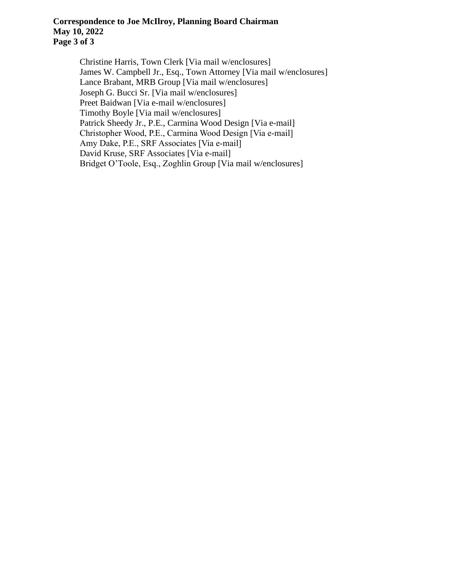## **Correspondence to Joe McIlroy, Planning Board Chairman May 10, 2022 Page 3 of 3**

Christine Harris, Town Clerk [Via mail w/enclosures] James W. Campbell Jr., Esq., Town Attorney [Via mail w/enclosures] Lance Brabant, MRB Group [Via mail w/enclosures] Joseph G. Bucci Sr. [Via mail w/enclosures] Preet Baidwan [Via e-mail w/enclosures] Timothy Boyle [Via mail w/enclosures] Patrick Sheedy Jr., P.E., Carmina Wood Design [Via e-mail] Christopher Wood, P.E., Carmina Wood Design [Via e-mail] Amy Dake, P.E., SRF Associates [Via e-mail] David Kruse, SRF Associates [Via e-mail] Bridget O'Toole, Esq., Zoghlin Group [Via mail w/enclosures]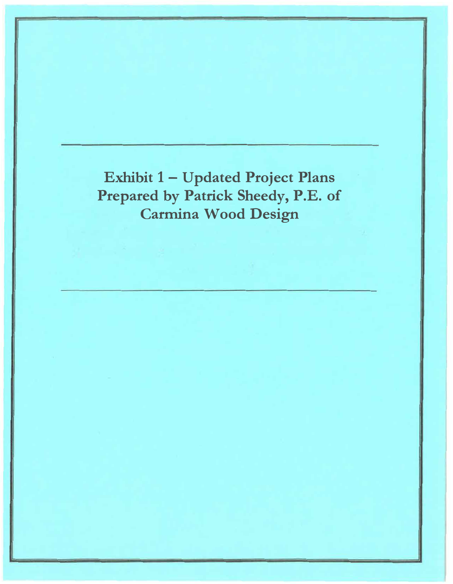Exhibit 1 - Updated Project Plans Prepared by Patrick Sheedy, P.E. of **Carmina Wood Design**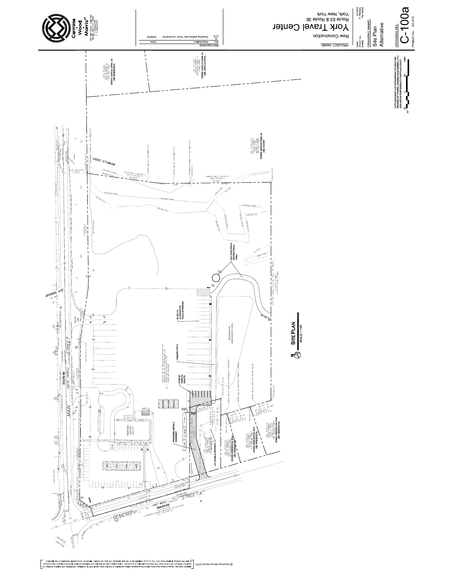

ig iste of<br>Z suotoes<br>I saubu ty